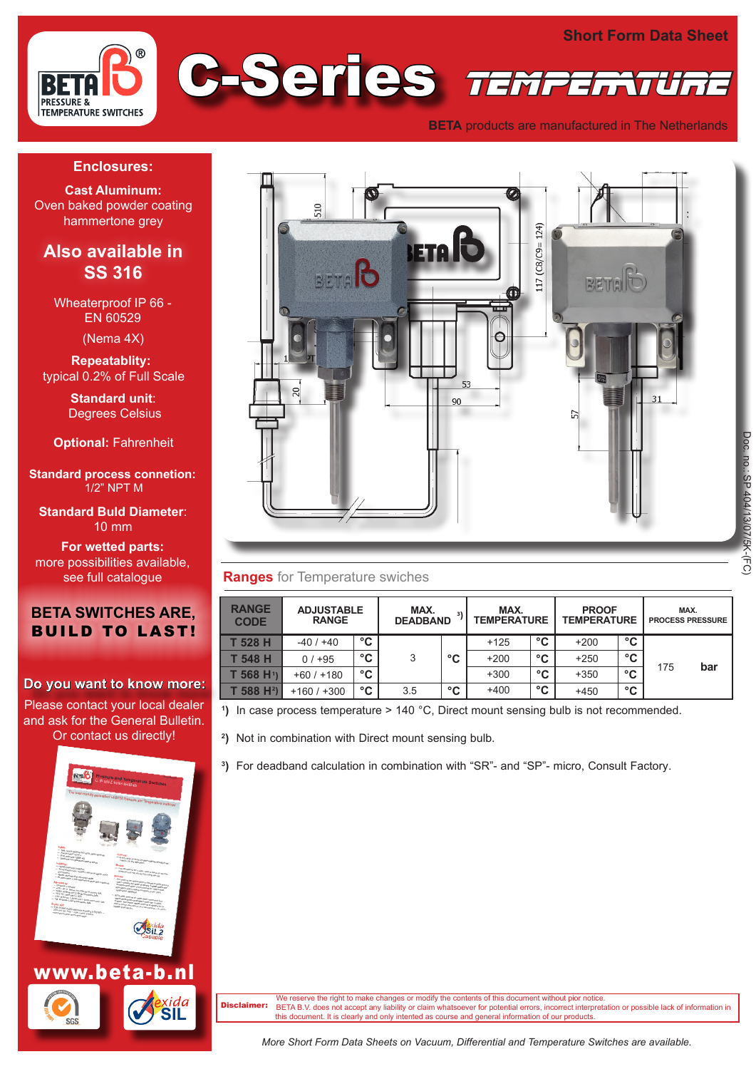

**BETA** products are manufactured in The Netherlands

#### **Enclosures:**

**Cast Aluminum:** Oven baked powder coating hammertone grey

# **Also available in SS 316**

Wheaterproof IP 66 - EN 60529

(Nema 4X)

 **Repeatablity:** typical 0.2% of Full Scale

> **Standard unit**: Degrees Celsius

**Optional:** Fahrenheit

**Standard process connetion:**  1/2" NPT M

**Standard Buld Diameter**: 10 mm

**For wetted parts:** more possibilities available, see full catalogue

## **BETA SWITCHES ARE,** BUILD TO LAST!

#### **Do you want to know more:**

Please contact your local dealer and ask for the General Bulletin. Or contact us directly!



#### **Ranges** for Temperature swiches

| <b>RANGE</b><br><b>CODE</b> | <b>ADJUSTABLE</b><br><b>RANGE</b> |    | MAX. | MAX.<br>31<br><b>TEMPERATURE</b><br><b>DEADBAND</b> |        |    | <b>PROOF</b><br><b>TEMPERATURE</b> |    | MAX.<br><b>PROCESS PRESSURE</b> |     |
|-----------------------------|-----------------------------------|----|------|-----------------------------------------------------|--------|----|------------------------------------|----|---------------------------------|-----|
| T 528 H                     | $-40/+40$                         | °C |      |                                                     | $+125$ | °C | $+200$                             | °C |                                 |     |
| T 548 H                     | $0/1 + 95$                        | °C | 3    | °C                                                  | $+200$ | °C | $+250$                             | °C |                                 |     |
| T 568 H <sup>1</sup> )      | $+60/+180$                        | °C |      |                                                     | $+300$ | °C | $+350$                             | °C | 175                             | bar |
| $T$ 588 H <sup>2</sup> )    | $+160/+300$                       | °C | 3.5  | °C                                                  | $+400$ | °C | $+450$                             | °C |                                 |     |

**1 )** In case process temperature > 140 °C, Direct mount sensing bulb is not recommended.

**2 )** Not in combination with Direct mount sensing bulb.

**3 )** For deadband calculation in combination with "SR"- and "SP"- micro, Consult Factory.



le reserve the right to make changes or modify the contents of this document without pior notice. BETA B.V. does not accept any liability or claim whatsoever for potential errors, incorrect interpretation or possible lack of information in this document. It is clearly and only intented as course and general information ent. It is clearly and only intented as course and general information of our products Disclaimer:

*More Short Form Data Sheets on Vacuum, Differential and Temperature Switches are available.*